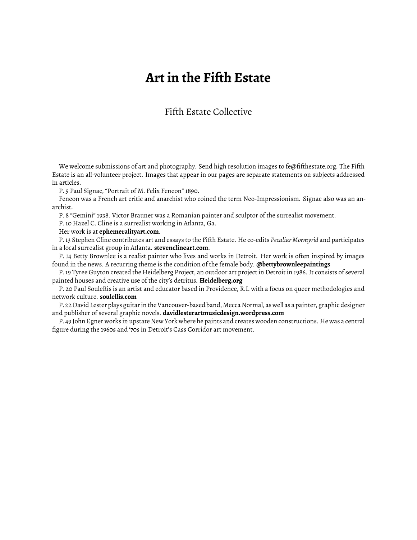## **Art in the Fifth Estate**

## Fifth Estate Collective

We welcome submissions of art and photography. Send high resolution images to fe@fifthestate.org. The Fifth Estate is an all-volunteer project. Images that appear in our pages are separate statements on subjects addressed in articles.

P. 5 Paul Signac, "Portrait of M. Felix Feneon" 1890.

Feneon was a French art critic and anarchist who coined the term Neo-Impressionism. Signac also was an anarchist.

P. 8 "Gemini" 1938. Victor Brauner was a Romanian painter and sculptor of the surrealist movement.

P. 10 Hazel C. Cline is a surrealist working in Atlanta, Ga.

Her work is at **ephemeralityart.com**.

P. 13 Stephen Cline contributes art and essays to the Fifth Estate. He co-edits *Peculiar Mormyrid* and participates in a local surrealist group in Atlanta. **stevenclineart.com**.

P. 14 Betty Brownlee is a realist painter who lives and works in Detroit. Her work is often inspired by images found in the news. A recurring theme is the condition of the female body. **@bettybrownleepaintings**

P. 19 Tyree Guyton created the Heidelberg Project, an outdoor art project in Detroit in 1986. It consists of several painted houses and creative use of the city's detritus. **Heidelberg.org**

P. 20 Paul SouleRis is an artist and educator based in Providence, R.I. with a focus on queer methodologies and network culture. **soulellis.com**

P. 22 David Lester plays guitar in the Vancouver-based band, Mecca Normal, as well as a painter, graphic designer and publisher of several graphic novels. **davidlesterartmusicdesign.wordpress.com**

P. 49 John Egner works in upstate New York where he paints and creates wooden constructions. He was a central figure during the 1960s and '70s in Detroit's Cass Corridor art movement.